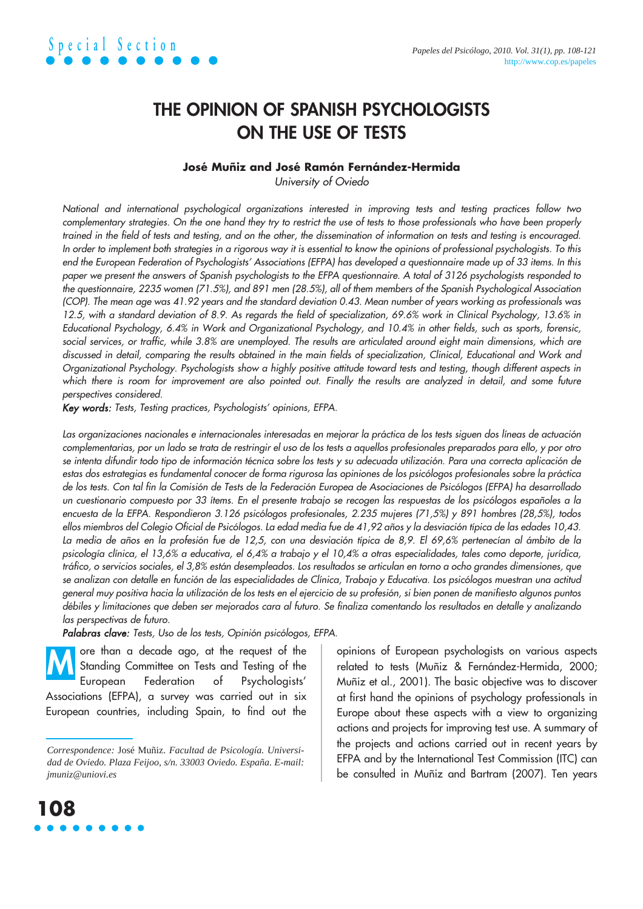## **THE OPINION OF SPANISH PSYCHOLOGISTS ON THE USE OF TESTS**

### **José Muñiz and José Ramón Fernández-Hermida**

University of Oviedo

National and international psychological organizations interested in improving tests and testing practices follow two complementary strategies. On the one hand they try to restrict the use of tests to those professionals who have been properly trained in the field of tests and testing, and on the other, the dissemination of information on tests and testing is encouraged. In order to implement both strategies in a rigorous way it is essential to know the opinions of professional psychologists. To this end the European Federation of Psychologists' Associations (EFPA) has developed a questionnaire made up of 33 items. In this paper we present the answers of Spanish psychologists to the EFPA questionnaire. A total of 3126 psychologists responded to the questionnaire, 2235 women (71.5%), and 891 men (28.5%), all of them members of the Spanish Psychological Association (COP). The mean age was 41.92 years and the standard deviation 0.43. Mean number of years working as professionals was 12.5, with a standard deviation of 8.9. As regards the field of specialization, 69.6% work in Clinical Psychology, 13.6% in Educational Psychology, 6.4% in Work and Organizational Psychology, and 10.4% in other fields, such as sports, forensic, social services, or traffic, while 3.8% are unemployed. The results are articulated around eight main dimensions, which are discussed in detail, comparing the results obtained in the main fields of specialization, Clinical, Educational and Work and Organizational Psychology. Psychologists show a highly positive attitude toward tests and testing, though different aspects in which there is room for improvement are also pointed out. Finally the results are analyzed in detail, and some future perspectives considered.

Key words: Tests, Testing practices, Psychologists' opinions, EFPA.

Las organizaciones nacionales e internacionales interesadas en mejorar la práctica de los tests siguen dos líneas de actuación complementarias, por un lado se trata de restringir el uso de los tests a aquellos profesionales preparados para ello, y por otro se intenta difundir todo tipo de información técnica sobre los tests y su adecuada utilización. Para una correcta aplicación de estas dos estrategias es fundamental conocer de forma rigurosa las opiniones de los psicólogos profesionales sobre la práctica de los tests. Con tal fin la Comisión de Tests de la Federación Europea de Asociaciones de Psicólogos (EFPA) ha desarrollado un cuestionario compuesto por 33 ítems. En el presente trabajo se recogen las respuestas de los psicólogos españoles a la encuesta de la EFPA. Respondieron 3.126 psicólogos profesionales, 2.235 mujeres (71,5%) y 891 hombres (28,5%), todos ellos miembros del Colegio Oficial de Psicólogos. La edad media fue de 41,92 años y la desviación típica de las edades 10,43. La media de años en la profesión fue de 12,5, con una desviación típica de 8,9. El 69,6% pertenecían al ámbito de la psicología clínica, el 13,6% a educativa, el 6,4% a trabajo y el 10,4% a otras especialidades, tales como deporte, jurídica, tráfico, o servicios sociales, el 3,8% están desempleados. Los resultados se articulan en torno a ocho grandes dimensiones, que se analizan con detalle en función de las especialidades de Clínica, Trabajo <sup>y</sup>Educativa. Los psicólogos muestran una actitud general muy positiva hacia la utilización de los tests en el ejercicio de su profesión, si bien ponen de manifiesto algunos puntos débiles y limitaciones que deben ser mejorados cara al futuro. Se finaliza comentando los resultados en detalle y analizando las perspectivas de futuro.

Palabras clave: Tests, Uso de los tests, Opinión psicólogos, EFPA.

ore than a decade ago, at the request of the Standing Committee on Tests and Testing of the European Federation of Psychologists' Associations (EFPA), a survey was carried out in six European countries, including Spain, to find out the **M**

**108**

opinions of European psychologists on various aspects related to tests (Muñiz & Fernández-Hermida, 2000; Muñiz et al., 2001). The basic objective was to discover at first hand the opinions of psychology professionals in Europe about these aspects with a view to organizing actions and projects for improving test use. A summary of the projects and actions carried out in recent years by EFPA and by the International Test Commission (ITC) can be consulted in Muñiz and Bartram (2007). Ten years

*Correspondence:* José Muñiz. *Facultad de Psicología. Universidad de Oviedo. Plaza Feijoo, s/n. 33003 Oviedo. España. E-mail: jmuniz@uniovi.es*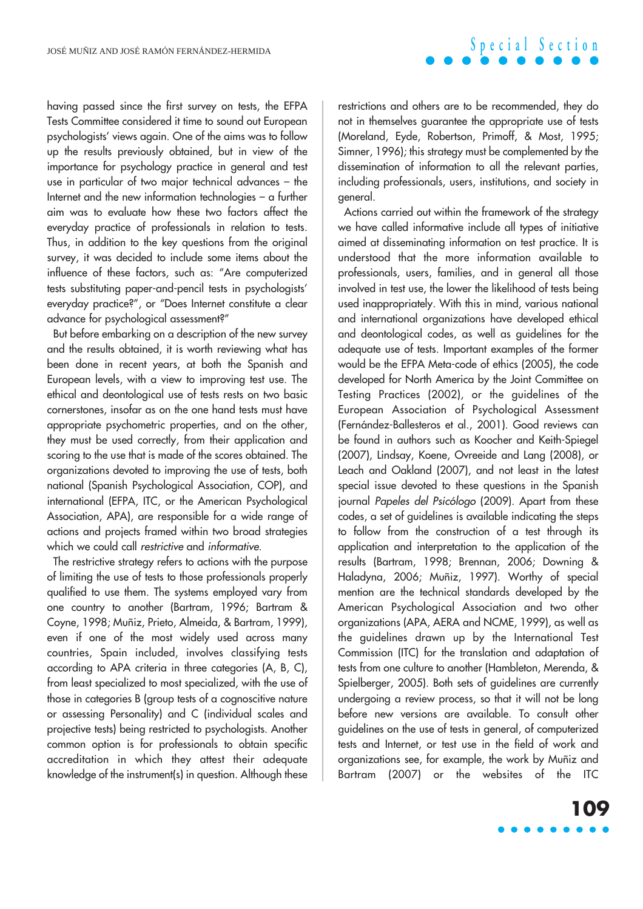having passed since the first survey on tests, the EFPA Tests Committee considered it time to sound out European psychologists' views again. One of the aims was to follow up the results previously obtained, but in view of the importance for psychology practice in general and test use in particular of two major technical advances – the Internet and the new information technologies – a further aim was to evaluate how these two factors affect the everyday practice of professionals in relation to tests. Thus, in addition to the key questions from the original survey, it was decided to include some items about the influence of these factors, such as: "Are computerized tests substituting paper-and-pencil tests in psychologists' everyday practice?", or "Does Internet constitute a clear advance for psychological assessment?"

But before embarking on a description of the new survey and the results obtained, it is worth reviewing what has been done in recent years, at both the Spanish and European levels, with a view to improving test use. The ethical and deontological use of tests rests on two basic cornerstones, insofar as on the one hand tests must have appropriate psychometric properties, and on the other, they must be used correctly, from their application and scoring to the use that is made of the scores obtained. The organizations devoted to improving the use of tests, both national (Spanish Psychological Association, COP), and international (EFPA, ITC, or the American Psychological Association, APA), are responsible for a wide range of actions and projects framed within two broad strategies which we could call restrictive and informative.

The restrictive strategy refers to actions with the purpose of limiting the use of tests to those professionals properly qualified to use them. The systems employed vary from one country to another (Bartram, 1996; Bartram & Coyne, 1998; Muñiz, Prieto, Almeida, & Bartram, 1999), even if one of the most widely used across many countries, Spain included, involves classifying tests according to APA criteria in three categories (A, B, C), from least specialized to most specialized, with the use of those in categories B (group tests of a cognoscitive nature or assessing Personality) and C (individual scales and projective tests) being restricted to psychologists. Another common option is for professionals to obtain specific accreditation in which they attest their adequate knowledge of the instrument(s) in question. Although these

restrictions and others are to be recommended, they do not in themselves guarantee the appropriate use of tests (Moreland, Eyde, Robertson, Primoff, & Most, 1995; Simner, 1996); this strategy must be complemented by the dissemination of information to all the relevant parties, including professionals, users, institutions, and society in general.

**Special Section**

Actions carried out within the framework of the strategy we have called informative include all types of initiative aimed at disseminating information on test practice. It is understood that the more information available to professionals, users, families, and in general all those involved in test use, the lower the likelihood of tests being used inappropriately. With this in mind, various national and international organizations have developed ethical and deontological codes, as well as guidelines for the adequate use of tests. Important examples of the former would be the EFPA Meta-code of ethics (2005), the code developed for North America by the Joint Committee on Testing Practices (2002), or the guidelines of the European Association of Psychological Assessment (Fernández-Ballesteros et al., 2001). Good reviews can be found in authors such as Koocher and Keith-Spiegel (2007), Lindsay, Koene, Ovreeide and Lang (2008), or Leach and Oakland (2007), and not least in the latest special issue devoted to these questions in the Spanish journal Papeles del Psicólogo (2009). Apart from these codes, a set of guidelines is available indicating the steps to follow from the construction of a test through its application and interpretation to the application of the results (Bartram, 1998; Brennan, 2006; Downing & Haladyna, 2006; Muñiz, 1997). Worthy of special mention are the technical standards developed by the American Psychological Association and two other organizations (APA, AERA and NCME, 1999), as well as the guidelines drawn up by the International Test Commission (ITC) for the translation and adaptation of tests from one culture to another (Hambleton, Merenda, & Spielberger, 2005). Both sets of guidelines are currently undergoing a review process, so that it will not be long before new versions are available. To consult other guidelines on the use of tests in general, of computerized tests and Internet, or test use in the field of work and organizations see, for example, the work by Muñiz and Bartram (2007) or the websites of the ITC

**109**

. . . . .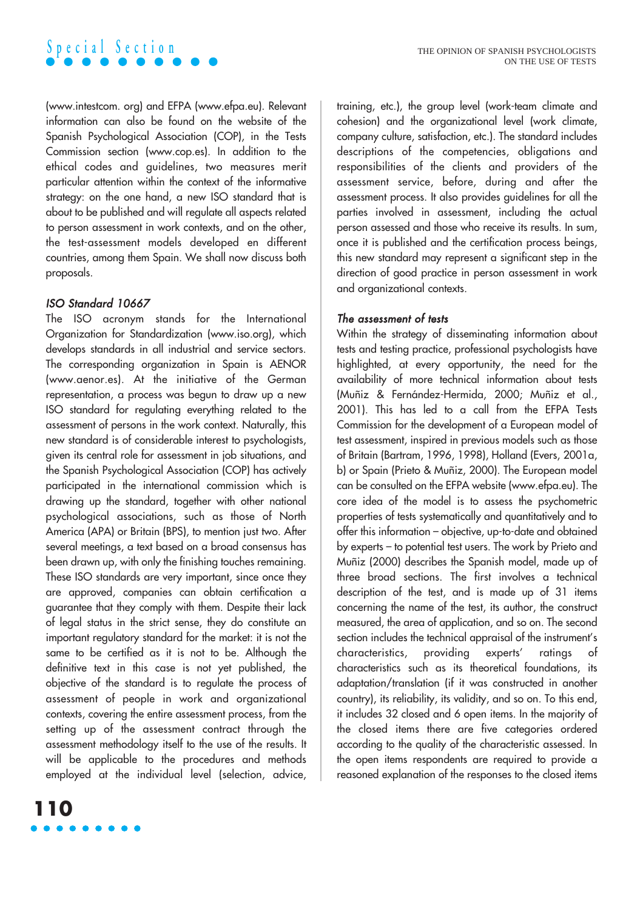#### THE OPINION OF SPANISH PSYCHOLOGISTS ON THE USE OF TESTS

(www.intestcom. org) and EFPA (www.efpa.eu). Relevant information can also be found on the website of the Spanish Psychological Association (COP), in the Tests Commission section (www.cop.es). In addition to the ethical codes and guidelines, two measures merit particular attention within the context of the informative strategy: on the one hand, a new ISO standard that is about to be published and will regulate all aspects related to person assessment in work contexts, and on the other, the test-assessment models developed en different countries, among them Spain. We shall now discuss both proposals.

## ISO Standard 10667

**Special Section**

The ISO acronym stands for the International Organization for Standardization (www.iso.org), which develops standards in all industrial and service sectors. The corresponding organization in Spain is AENOR (www.aenor.es). At the initiative of the German representation, a process was begun to draw up a new ISO standard for regulating everything related to the assessment of persons in the work context. Naturally, this new standard is of considerable interest to psychologists, given its central role for assessment in job situations, and the Spanish Psychological Association (COP) has actively participated in the international commission which is drawing up the standard, together with other national psychological associations, such as those of North America (APA) or Britain (BPS), to mention just two. After several meetings, a text based on a broad consensus has been drawn up, with only the finishing touches remaining. These ISO standards are very important, since once they are approved, companies can obtain certification a guarantee that they comply with them. Despite their lack of legal status in the strict sense, they do constitute an important regulatory standard for the market: it is not the same to be certified as it is not to be. Although the definitive text in this case is not yet published, the objective of the standard is to regulate the process of assessment of people in work and organizational contexts, covering the entire assessment process, from the setting up of the assessment contract through the assessment methodology itself to the use of the results. It will be applicable to the procedures and methods employed at the individual level (selection, advice,

training, etc.), the group level (work-team climate and cohesion) and the organizational level (work climate, company culture, satisfaction, etc.). The standard includes descriptions of the competencies, obligations and responsibilities of the clients and providers of the assessment service, before, during and after the assessment process. It also provides guidelines for all the parties involved in assessment, including the actual person assessed and those who receive its results. In sum, once it is published and the certification process beings, this new standard may represent a significant step in the direction of good practice in person assessment in work and organizational contexts.

#### The assessment of tests

Within the strategy of disseminating information about tests and testing practice, professional psychologists have highlighted, at every opportunity, the need for the availability of more technical information about tests (Muñiz & Fernández-Hermida, 2000; Muñiz et al., 2001). This has led to a call from the EFPA Tests Commission for the development of a European model of test assessment, inspired in previous models such as those of Britain (Bartram, 1996, 1998), Holland (Evers, 2001a, b) or Spain (Prieto & Muñiz, 2000). The European model can be consulted on the EFPA website (www.efpa.eu). The core idea of the model is to assess the psychometric properties of tests systematically and quantitatively and to offer this information – objective, up-to-date and obtained by experts – to potential test users. The work by Prieto and Muñiz (2000) describes the Spanish model, made up of three broad sections. The first involves a technical description of the test, and is made up of 31 items concerning the name of the test, its author, the construct measured, the area of application, and so on. The second section includes the technical appraisal of the instrument's characteristics, providing experts' ratings of characteristics such as its theoretical foundations, its adaptation/translation (if it was constructed in another country), its reliability, its validity, and so on. To this end, it includes 32 closed and 6 open items. In the majority of the closed items there are five categories ordered according to the quality of the characteristic assessed. In the open items respondents are required to provide a reasoned explanation of the responses to the closed items

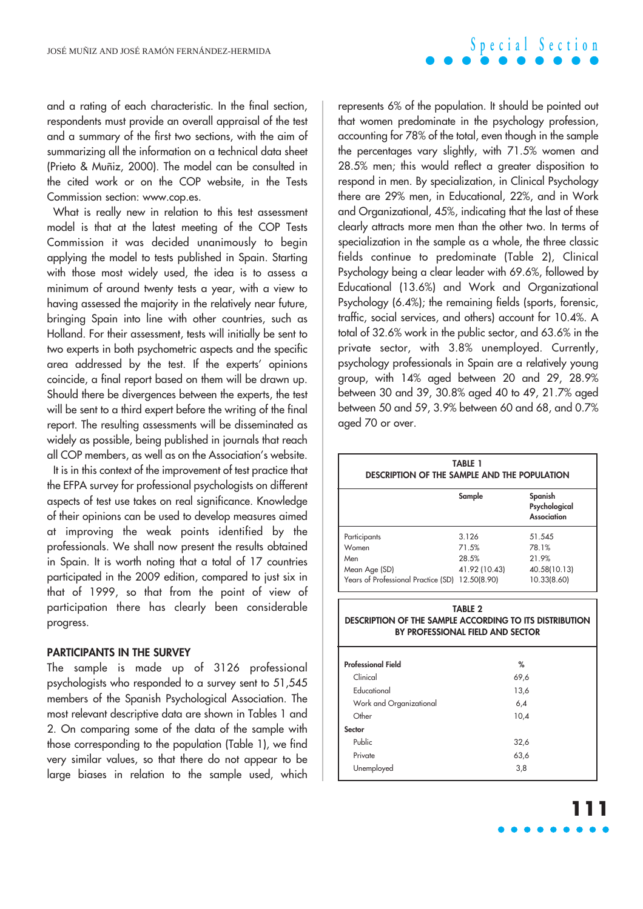and a rating of each characteristic. In the final section, respondents must provide an overall appraisal of the test and a summary of the first two sections, with the aim of summarizing all the information on a technical data sheet (Prieto & Muñiz, 2000). The model can be consulted in the cited work or on the COP website, in the Tests Commission section: www.cop.es.

What is really new in relation to this test assessment model is that at the latest meeting of the COP Tests Commission it was decided unanimously to begin applying the model to tests published in Spain. Starting with those most widely used, the idea is to assess a minimum of around twenty tests a year, with a view to having assessed the majority in the relatively near future, bringing Spain into line with other countries, such as Holland. For their assessment, tests will initially be sent to two experts in both psychometric aspects and the specific area addressed by the test. If the experts' opinions coincide, a final report based on them will be drawn up. Should there be divergences between the experts, the test will be sent to a third expert before the writing of the final report. The resulting assessments will be disseminated as widely as possible, being published in journals that reach all COP members, as well as on the Association's website.

It is in this context of the improvement of test practice that the EFPA survey for professional psychologists on different aspects of test use takes on real significance. Knowledge of their opinions can be used to develop measures aimed at improving the weak points identified by the professionals. We shall now present the results obtained in Spain. It is worth noting that a total of 17 countries participated in the 2009 edition, compared to just six in that of 1999, so that from the point of view of participation there has clearly been considerable progress.

### **PARTICIPANTS IN THE SURVEY**

The sample is made up of 3126 professional psychologists who responded to a survey sent to 51,545 members of the Spanish Psychological Association. The most relevant descriptive data are shown in Tables 1 and 2. On comparing some of the data of the sample with those corresponding to the population (Table 1), we find very similar values, so that there do not appear to be large biases in relation to the sample used, which

represents 6% of the population. It should be pointed out that women predominate in the psychology profession, accounting for 78% of the total, even though in the sample the percentages vary slightly, with 71.5% women and 28.5% men; this would reflect a greater disposition to respond in men. By specialization, in Clinical Psychology there are 29% men, in Educational, 22%, and in Work and Organizational, 45%, indicating that the last of these clearly attracts more men than the other two. In terms of specialization in the sample as a whole, the three classic fields continue to predominate (Table 2), Clinical Psychology being a clear leader with 69.6%, followed by Educational (13.6%) and Work and Organizational Psychology (6.4%); the remaining fields (sports, forensic, traffic, social services, and others) account for 10.4%. A total of 32.6% work in the public sector, and 63.6% in the private sector, with 3.8% unemployed. Currently, psychology professionals in Spain are a relatively young group, with 14% aged between 20 and 29, 28.9% between 30 and 39, 30.8% aged 40 to 49, 21.7% aged between 50 and 59, 3.9% between 60 and 68, and 0.7% aged 70 or over.

| <b>TABLE 1</b><br><b>DESCRIPTION OF THE SAMPLE AND THE POPULATION</b>                              |                |                                         |  |  |
|----------------------------------------------------------------------------------------------------|----------------|-----------------------------------------|--|--|
|                                                                                                    | Sample         | Spanish<br>Psychological<br>Association |  |  |
| Participants                                                                                       | 3.126          | 51.545                                  |  |  |
| Women                                                                                              | 71.5%          | 78.1%                                   |  |  |
| Men                                                                                                | 28.5%          | 21.9%                                   |  |  |
| Mean Age (SD)<br>Years of Professional Practice (SD) 12.50(8.90)                                   | 41.92 (10.43)  | 40.58(10.13)<br>10.33(8.60)             |  |  |
|                                                                                                    | <b>TABLE 2</b> |                                         |  |  |
| <b>DESCRIPTION OF THE SAMPLE ACCORDING TO ITS DISTRIBUTION</b><br>BY PROFESSIONAL FIELD AND SECTOR |                |                                         |  |  |
| <b>Professional Field</b>                                                                          |                | %                                       |  |  |
| Clinical                                                                                           |                | 69,6                                    |  |  |
| <b>Educational</b>                                                                                 |                | 13,6                                    |  |  |
| Work and Organizational                                                                            |                | 6,4                                     |  |  |
| Other                                                                                              |                | 10.4                                    |  |  |
| Sector                                                                                             |                |                                         |  |  |
| Public                                                                                             |                | 32,6                                    |  |  |
| Private                                                                                            |                | 63,6                                    |  |  |

**111**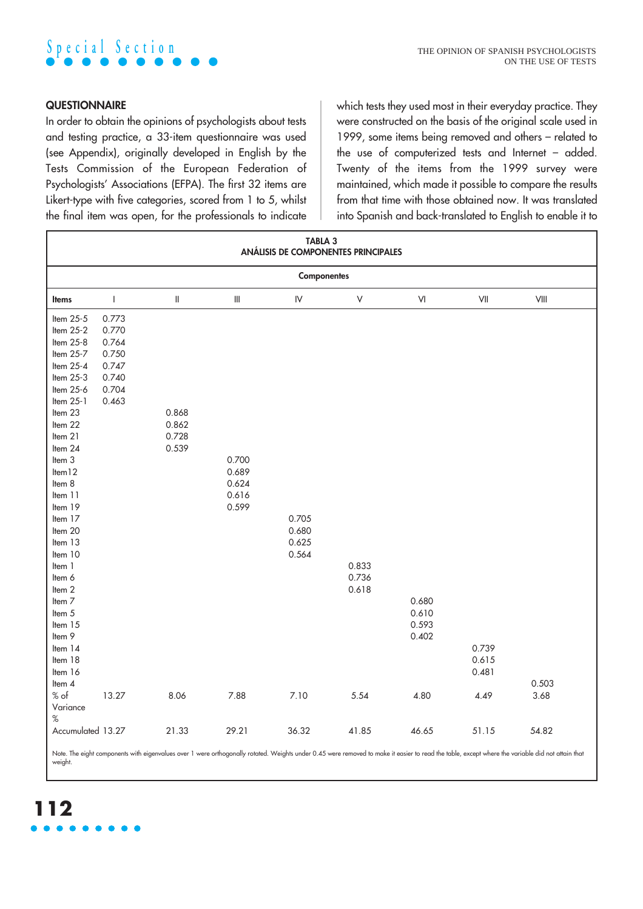

## **QUESTIONNAIRE**

In order to obtain the opinions of psychologists about tests and testing practice, a 33-item questionnaire was used (see Appendix), originally developed in English by the Tests Commission of the European Federation of Psychologists' Associations (EFPA). The first 32 items are Likert-type with five categories, scored from 1 to 5, whilst the final item was open, for the professionals to indicate which tests they used most in their everyday practice. They were constructed on the basis of the original scale used in 1999, some items being removed and others – related to the use of computerized tests and Internet – added. Twenty of the items from the 1999 survey were maintained, which made it possible to compare the results from that time with those obtained now. It was translated into Spanish and back-translated to English to enable it to

| TABLA 3<br>ANÁLISIS DE COMPONENTES PRINCIPALES                                                                                                                                                                                                                                                                                                                                 |                                                                      |                                                                                                                                                                                                                                                                                                                                                                                                                                                                         |                                           |                                  |                         |                                  |                                                                 |                                                                  |
|--------------------------------------------------------------------------------------------------------------------------------------------------------------------------------------------------------------------------------------------------------------------------------------------------------------------------------------------------------------------------------|----------------------------------------------------------------------|-------------------------------------------------------------------------------------------------------------------------------------------------------------------------------------------------------------------------------------------------------------------------------------------------------------------------------------------------------------------------------------------------------------------------------------------------------------------------|-------------------------------------------|----------------------------------|-------------------------|----------------------------------|-----------------------------------------------------------------|------------------------------------------------------------------|
| <b>Componentes</b>                                                                                                                                                                                                                                                                                                                                                             |                                                                      |                                                                                                                                                                                                                                                                                                                                                                                                                                                                         |                                           |                                  |                         |                                  |                                                                 |                                                                  |
| <b>Items</b>                                                                                                                                                                                                                                                                                                                                                                   | $\mathsf{I}$                                                         | $\mathop{  }% \text{log}(p_{\theta}^{*})\mathop{  }% \text{log}(p_{\theta}^{*})\mathop{  }% \text{log}(p_{\theta}^{*})\mathop{  }% \text{log}(p_{\theta}^{*})\mathop{  }% \text{log}(p_{\theta}^{*})\mathop{  }% \text{log}(p_{\theta}^{*})\mathop{  }% \text{log}(p_{\theta}^{*})\mathop{  }% \text{log}(p_{\theta}^{*})\mathop{  }% \text{log}(p_{\theta}^{*})\mathop{  }% \text{log}(p_{\theta}^{*})\mathop{  }% \text{log}(p_{\theta}^{*})\mathop{  }% \text{log}($ | $\ensuremath{\mathsf{III}}\xspace$        | ${\sf IV}$                       | $\sf V$                 | $\mathsf{VI}$                    | $\ensuremath{\mathsf{V}}\xspace\ensuremath{\mathsf{II}}\xspace$ | $\ensuremath{\mathsf{V}}\xspace\ensuremath{\mathsf{III}}\xspace$ |
| Item 25-5<br>Item 25-2<br>Item 25-8<br>Item 25-7<br>Item 25-4<br>Item 25-3<br>Item 25-6<br>Item 25-1<br>Item 23<br>Item 22<br>Item 21<br>Item 24<br>Item 3<br>Item <sub>12</sub><br>Item 8<br>Item 11<br>Item 19<br>Item 17<br>Item 20<br>Item 13<br>Item 10<br>Item 1<br>Item 6<br>Item 2<br>Item 7<br>Item 5<br>Item 15<br>Item 9<br>Item 14<br>Item 18<br>Item 16<br>Item 4 | 0.773<br>0.770<br>0.764<br>0.750<br>0.747<br>0.740<br>0.704<br>0.463 | 0.868<br>0.862<br>0.728<br>0.539                                                                                                                                                                                                                                                                                                                                                                                                                                        | 0.700<br>0.689<br>0.624<br>0.616<br>0.599 | 0.705<br>0.680<br>0.625<br>0.564 | 0.833<br>0.736<br>0.618 | 0.680<br>0.610<br>0.593<br>0.402 | 0.739<br>0.615<br>0.481                                         | 0.503                                                            |
| $%$ of<br>Variance<br>$\%$<br>Accumulated 13.27                                                                                                                                                                                                                                                                                                                                | 13.27                                                                | 8.06<br>21.33                                                                                                                                                                                                                                                                                                                                                                                                                                                           | 7.88<br>29.21                             | 7.10<br>36.32                    | 5.54<br>41.85           | 4.80<br>46.65                    | 4.49<br>51.15                                                   | 3.68<br>54.82                                                    |
|                                                                                                                                                                                                                                                                                                                                                                                |                                                                      |                                                                                                                                                                                                                                                                                                                                                                                                                                                                         |                                           |                                  |                         |                                  |                                                                 |                                                                  |

Note. The eight components with eigenvalues over 1 were orthogonally rotated. Weights under 0.45 were removed to make it easier to read the table, except where the variable did not attain that weight.

# **112**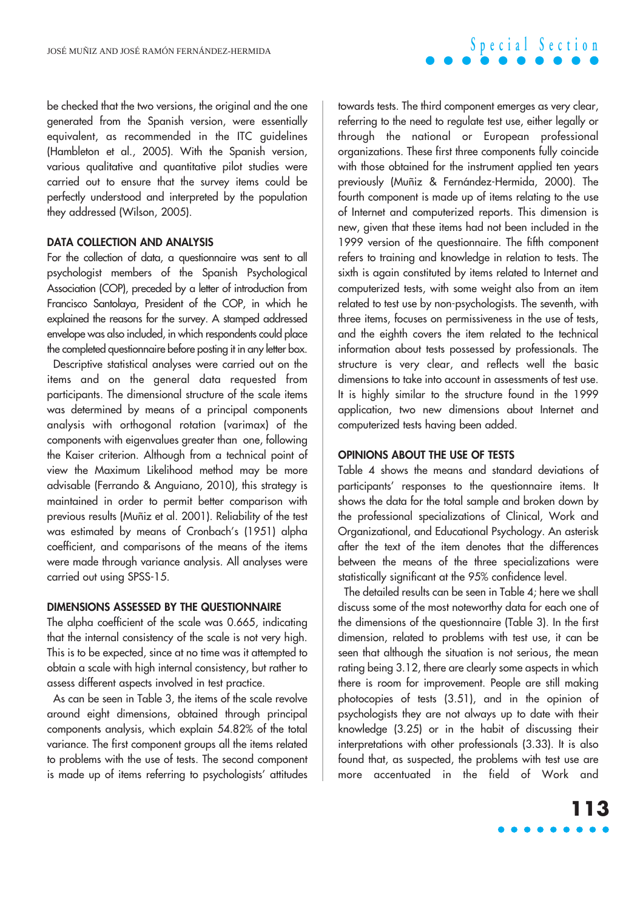be checked that the two versions, the original and the one generated from the Spanish version, were essentially equivalent, as recommended in the ITC guidelines (Hambleton et al., 2005). With the Spanish version, various qualitative and quantitative pilot studies were carried out to ensure that the survey items could be perfectly understood and interpreted by the population they addressed (Wilson, 2005).

### **DATA COLLECTION AND ANALYSIS**

For the collection of data, a questionnaire was sent to all psychologist members of the Spanish Psychological Association (COP), preceded by a letter of introduction from Francisco Santolaya, President of the COP, in which he explained the reasons for the survey. A stamped addressed envelope was also included, in which respondents could place the completed questionnaire before posting it in any letter box.

Descriptive statistical analyses were carried out on the items and on the general data requested from participants. The dimensional structure of the scale items was determined by means of a principal components analysis with orthogonal rotation (varimax) of the components with eigenvalues greater than one, following the Kaiser criterion. Although from a technical point of view the Maximum Likelihood method may be more advisable (Ferrando & Anguiano, 2010), this strategy is maintained in order to permit better comparison with previous results (Muñiz et al. 2001). Reliability of the test was estimated by means of Cronbach's (1951) alpha coefficient, and comparisons of the means of the items were made through variance analysis. All analyses were carried out using SPSS-15.

#### **DIMENSIONS ASSESSED BY THE QUESTIONNAIRE**

The alpha coefficient of the scale was 0.665, indicating that the internal consistency of the scale is not very high. This is to be expected, since at no time was it attempted to obtain a scale with high internal consistency, but rather to assess different aspects involved in test practice.

As can be seen in Table 3, the items of the scale revolve around eight dimensions, obtained through principal components analysis, which explain 54.82% of the total variance. The first component groups all the items related to problems with the use of tests. The second component is made up of items referring to psychologists' attitudes

towards tests. The third component emerges as very clear, referring to the need to regulate test use, either legally or through the national or European professional organizations. These first three components fully coincide with those obtained for the instrument applied ten years previously (Muñiz & Fernández-Hermida, 2000). The fourth component is made up of items relating to the use of Internet and computerized reports. This dimension is new, given that these items had not been included in the 1999 version of the questionnaire. The fifth component refers to training and knowledge in relation to tests. The sixth is again constituted by items related to Internet and computerized tests, with some weight also from an item related to test use by non-psychologists. The seventh, with three items, focuses on permissiveness in the use of tests, and the eighth covers the item related to the technical information about tests possessed by professionals. The structure is very clear, and reflects well the basic dimensions to take into account in assessments of test use. It is highly similar to the structure found in the 1999 application, two new dimensions about Internet and computerized tests having been added.

**Special Section**

## **OPINIONS ABOUT THE USE OF TESTS**

Table 4 shows the means and standard deviations of participants' responses to the questionnaire items. It shows the data for the total sample and broken down by the professional specializations of Clinical, Work and Organizational, and Educational Psychology. An asterisk after the text of the item denotes that the differences between the means of the three specializations were statistically significant at the 95% confidence level.

The detailed results can be seen in Table 4; here we shall discuss some of the most noteworthy data for each one of the dimensions of the questionnaire (Table 3). In the first dimension, related to problems with test use, it can be seen that although the situation is not serious, the mean rating being 3.12, there are clearly some aspects in which there is room for improvement. People are still making photocopies of tests (3.51), and in the opinion of psychologists they are not always up to date with their knowledge (3.25) or in the habit of discussing their interpretations with other professionals (3.33). It is also found that, as suspected, the problems with test use are more accentuated in the field of Work and

## **113**  $\bullet\bullet\bullet\bullet$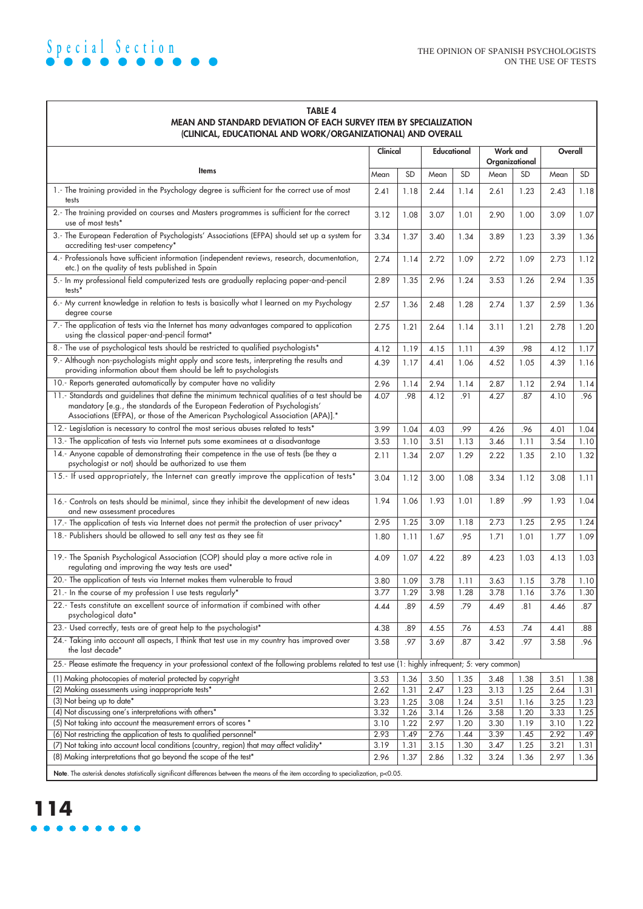| <b>MEAN AND STANDARD DEVIATION OF EACH SURVEY ITEM BY SPECIALIZATION</b><br>(CLINICAL, EDUCATIONAL AND WORK/ORGANIZATIONAL) AND OVERALL                                                                                                                          |          |           |      |             |                            |      |         |           |
|------------------------------------------------------------------------------------------------------------------------------------------------------------------------------------------------------------------------------------------------------------------|----------|-----------|------|-------------|----------------------------|------|---------|-----------|
|                                                                                                                                                                                                                                                                  | Clinical |           |      | Educational | Work and<br>Organizational |      | Overall |           |
| Items                                                                                                                                                                                                                                                            | Mean     | <b>SD</b> | Mean | <b>SD</b>   | Mean                       | SD   | Mean    | <b>SD</b> |
| 1.- The training provided in the Psychology degree is sufficient for the correct use of most<br>tests                                                                                                                                                            | 2.41     | 1.18      | 2.44 | 1.14        | 2.61                       | 1.23 | 2.43    | 1.18      |
| 2.- The training provided on courses and Masters programmes is sufficient for the correct<br>use of most tests*                                                                                                                                                  | 3.12     | 1.08      | 3.07 | 1.01        | 2.90                       | 1.00 | 3.09    | 1.07      |
| 3.- The European Federation of Psychologists' Associations (EFPA) should set up a system for<br>accrediting test-user competency*                                                                                                                                | 3.34     | 1.37      | 3.40 | 1.34        | 3.89                       | 1.23 | 3.39    | 1.36      |
| 4.- Professionals have sufficient information (independent reviews, research, documentation,<br>etc.) on the quality of tests published in Spain                                                                                                                 | 2.74     | 1.14      | 2.72 | 1.09        | 2.72                       | 1.09 | 2.73    | 1.12      |
| 5.- In my professional field computerized tests are gradually replacing paper-and-pencil<br>tests <sup>*</sup>                                                                                                                                                   | 2.89     | 1.35      | 2.96 | 1.24        | 3.53                       | 1.26 | 2.94    | 1.35      |
| 6.- My current knowledge in relation to tests is basically what I learned on my Psychology<br>degree course                                                                                                                                                      | 2.57     | 1.36      | 2.48 | 1.28        | 2.74                       | 1.37 | 2.59    | 1.36      |
| 7.- The application of tests via the Internet has many advantages compared to application<br>using the classical paper-and-pencil format*                                                                                                                        | 2.75     | 1.21      | 2.64 | 1.14        | 3.11                       | 1.21 | 2.78    | 1.20      |
| 8.- The use of psychological tests should be restricted to qualified psychologists*                                                                                                                                                                              | 4.12     | 1.19      | 4.15 | 1.11        | 4.39                       | .98  | 4.12    | 1.17      |
| 9.- Although non-psychologists might apply and score tests, interpreting the results and<br>providing information about them should be left to psychologists                                                                                                     | 4.39     | 1.17      | 4.41 | 1.06        | 4.52                       | 1.05 | 4.39    | 1.16      |
| 10.- Reports generated automatically by computer have no validity                                                                                                                                                                                                | 2.96     | 1.14      | 2.94 | 1.14        | 2.87                       | 1.12 | 2.94    | 1.14      |
| 11.- Standards and guidelines that define the minimum technical qualities of a test should be<br>mandatory [e.g., the standards of the European Federation of Psychologists'<br>Associations (EFPA), or those of the American Psychological Association (APA)].* | 4.07     | .98       | 4.12 | .91         | 4.27                       | .87  | 4.10    | .96       |
| 12.- Legislation is necessary to control the most serious abuses related to tests*                                                                                                                                                                               | 3.99     | 1.04      | 4.03 | .99         | 4.26                       | .96  | 4.01    | 1.04      |
| 13.- The application of tests via Internet puts some examinees at a disadvantage                                                                                                                                                                                 | 3.53     | 1.10      | 3.51 | 1.13        | 3.46                       | 1.11 | 3.54    | 1.10      |
| 14.- Anyone capable of demonstrating their competence in the use of tests (be they a<br>psychologist or not) should be authorized to use them                                                                                                                    | 2.11     | 1.34      | 2.07 | 1.29        | 2.22                       | 1.35 | 2.10    | 1.32      |
| 15.- If used appropriately, the Internet can greatly improve the application of tests*                                                                                                                                                                           | 3.04     | 1.12      | 3.00 | 1.08        | 3.34                       | 1.12 | 3.08    | 1.11      |
| 16.- Controls on tests should be minimal, since they inhibit the development of new ideas<br>and new assessment procedures                                                                                                                                       | 1.94     | 1.06      | 1.93 | 1.01        | 1.89                       | .99  | 1.93    | 1.04      |
| 17.- The application of tests via Internet does not permit the protection of user privacy*                                                                                                                                                                       | 2.95     | 1.25      | 3.09 | 1.18        | 2.73                       | 1.25 | 2.95    | 1.24      |
| 18.- Publishers should be allowed to sell any test as they see fit                                                                                                                                                                                               | 1.80     | 1.11      | 1.67 | .95         | 1.71                       | 1.01 | 1.77    | 1.09      |
| 19.- The Spanish Psychological Association (COP) should play a more active role in<br>regulating and improving the way tests are used*                                                                                                                           | 4.09     | 1.07      | 4.22 | .89         | 4.23                       | 1.03 | 4.13    | 1.03      |
| 20.- The application of tests via Internet makes them vulnerable to fraud                                                                                                                                                                                        | 3.80     | 1.09      | 3.78 | 1.11        | 3.63                       | 1.15 | 3.78    | 1.10      |
| 21.- In the course of my profession I use tests regularly*                                                                                                                                                                                                       | 3.77     | 1.29      | 3.98 | 1.28        | 3.78                       | 1.16 | 3.76    | 1.30      |
| 22.- Tests constitute an excellent source of information if combined with other<br>psychological data*                                                                                                                                                           | 4.44     | .89       | 4.59 | .79         | 4.49                       | .81  | 4.46    | .87       |
| 23.- Used correctly, tests are of great help to the psychologist*                                                                                                                                                                                                | 4.38     | .89       | 4.55 | .76         | 4.53                       | .74  | 4.41    | .88       |
| 24.- Taking into account all aspects, I think that test use in my country has improved over<br>the last decade*                                                                                                                                                  | 3.58     | .97       | 3.69 | .87         | 3.42                       | .97  | 3.58    | .96       |
| 25.- Please estimate the frequency in your professional context of the following problems related to test use (1: highly infrequent; 5: very common)                                                                                                             |          |           |      |             |                            |      |         |           |
| (1) Making photocopies of material protected by copyright                                                                                                                                                                                                        | 3.53     | 1.36      | 3.50 | 1.35        | 3.48                       | 1.38 | 3.51    | 1.38      |
| (2) Making assessments using inappropriate tests*                                                                                                                                                                                                                | 2.62     | 1.31      | 2.47 | 1.23        | 3.13                       | 1.25 | 2.64    | 1.31      |
| (3) Not being up to date*                                                                                                                                                                                                                                        | 3.23     | 1.25      | 3.08 | 1.24        | 3.51                       | 1.16 | 3.25    | 1.23      |
| (4) Not discussing one's interpretations with others*                                                                                                                                                                                                            | 3.32     | 1.26      | 3.14 | 1.26        | 3.58                       | 1.20 | 3.33    | 1.25      |
| (5) Not taking into account the measurement errors of scores *                                                                                                                                                                                                   | 3.10     | 1.22      | 2.97 | 1.20        | 3.30                       | 1.19 | 3.10    | 1.22      |
| (6) Not restricting the application of tests to qualified personnel*                                                                                                                                                                                             | 2.93     | 1.49      | 2.76 | 1.44        | 3.39                       | 1.45 | 2.92    | 1.49      |
| (7) Not taking into account local conditions (country, region) that may affect validity*                                                                                                                                                                         | 3.19     | 1.31      | 3.15 | 1.30        | 3.47                       | 1.25 | 3.21    | 1.31      |
| (8) Making interpretations that go beyond the scope of the test*                                                                                                                                                                                                 | 2.96     | 1.37      | 2.86 | 1.32        | 3.24                       | 1.36 | 2.97    | 1.36      |
| Note. The asterisk denotes statistically significant differences between the means of the item according to specialization, p<0.05.                                                                                                                              |          |           |      |             |                            |      |         |           |

## **TABLE 4**

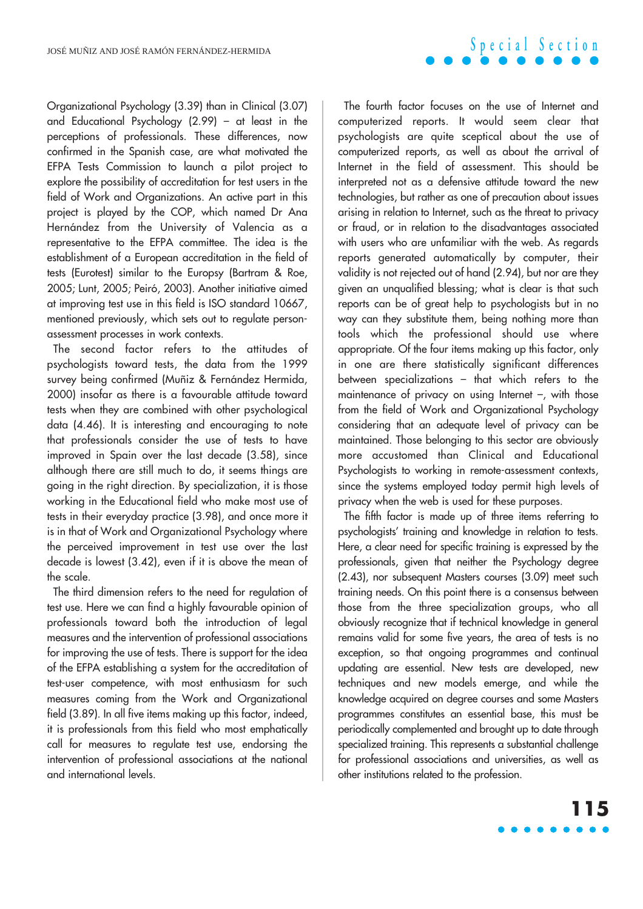Organizational Psychology (3.39) than in Clinical (3.07) and Educational Psychology (2.99) – at least in the perceptions of professionals. These differences, now confirmed in the Spanish case, are what motivated the EFPA Tests Commission to launch a pilot project to explore the possibility of accreditation for test users in the field of Work and Organizations. An active part in this project is played by the COP, which named Dr Ana Hernández from the University of Valencia as a representative to the EFPA committee. The idea is the establishment of a European accreditation in the field of tests (Eurotest) similar to the Europsy (Bartram & Roe, 2005; Lunt, 2005; Peiró, 2003). Another initiative aimed at improving test use in this field is ISO standard 10667, mentioned previously, which sets out to regulate personassessment processes in work contexts.

The second factor refers to the attitudes of psychologists toward tests, the data from the 1999 survey being confirmed (Muñiz & Fernández Hermida, 2000) insofar as there is a favourable attitude toward tests when they are combined with other psychological data (4.46). It is interesting and encouraging to note that professionals consider the use of tests to have improved in Spain over the last decade (3.58), since although there are still much to do, it seems things are going in the right direction. By specialization, it is those working in the Educational field who make most use of tests in their everyday practice (3.98), and once more it is in that of Work and Organizational Psychology where the perceived improvement in test use over the last decade is lowest (3.42), even if it is above the mean of the scale.

The third dimension refers to the need for regulation of test use. Here we can find a highly favourable opinion of professionals toward both the introduction of legal measures and the intervention of professional associations for improving the use of tests. There is support for the idea of the EFPA establishing a system for the accreditation of test-user competence, with most enthusiasm for such measures coming from the Work and Organizational field (3.89). In all five items making up this factor, indeed, it is professionals from this field who most emphatically call for measures to regulate test use, endorsing the intervention of professional associations at the national and international levels.

The fourth factor focuses on the use of Internet and computerized reports. It would seem clear that psychologists are quite sceptical about the use of computerized reports, as well as about the arrival of Internet in the field of assessment. This should be interpreted not as a defensive attitude toward the new technologies, but rather as one of precaution about issues arising in relation to Internet, such as the threat to privacy or fraud, or in relation to the disadvantages associated with users who are unfamiliar with the web. As regards reports generated automatically by computer, their validity is not rejected out of hand (2.94), but nor are they given an unqualified blessing; what is clear is that such reports can be of great help to psychologists but in no way can they substitute them, being nothing more than tools which the professional should use where appropriate. Of the four items making up this factor, only in one are there statistically significant differences between specializations – that which refers to the maintenance of privacy on using Internet –, with those from the field of Work and Organizational Psychology considering that an adequate level of privacy can be maintained. Those belonging to this sector are obviously more accustomed than Clinical and Educational Psychologists to working in remote-assessment contexts, since the systems employed today permit high levels of privacy when the web is used for these purposes.

**Special Section**

The fifth factor is made up of three items referring to psychologists' training and knowledge in relation to tests. Here, a clear need for specific training is expressed by the professionals, given that neither the Psychology degree (2.43), nor subsequent Masters courses (3.09) meet such training needs. On this point there is a consensus between those from the three specialization groups, who all obviously recognize that if technical knowledge in general remains valid for some five years, the area of tests is no exception, so that ongoing programmes and continual updating are essential. New tests are developed, new techniques and new models emerge, and while the knowledge acquired on degree courses and some Masters programmes constitutes an essential base, this must be periodically complemented and brought up to date through specialized training. This represents a substantial challenge for professional associations and universities, as well as other institutions related to the profession.

## **115**  $\bullet\bullet\bullet\bullet$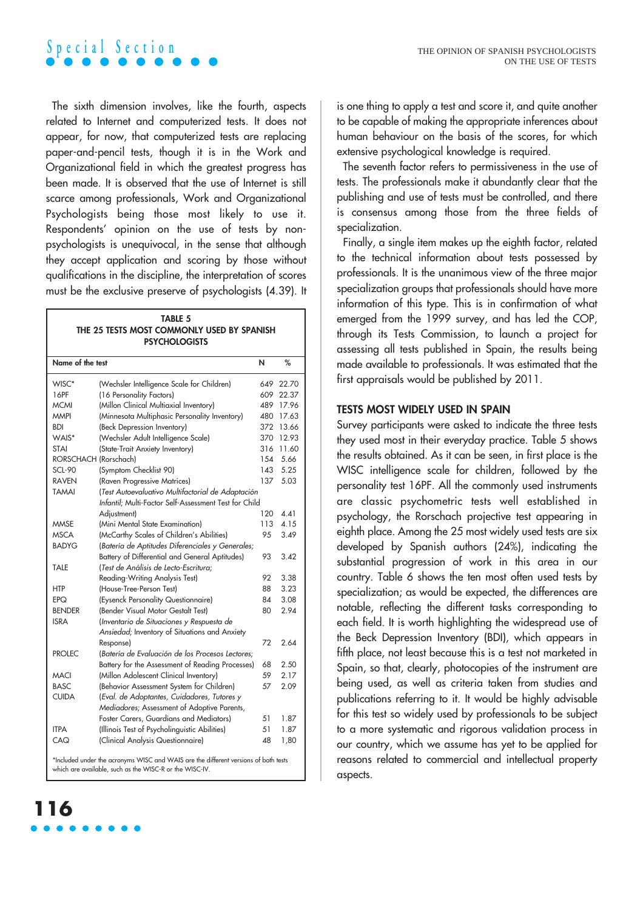The sixth dimension involves, like the fourth, aspects related to Internet and computerized tests. It does not appear, for now, that computerized tests are replacing paper-and-pencil tests, though it is in the Work and Organizational field in which the greatest progress has been made. It is observed that the use of Internet is still scarce among professionals, Work and Organizational Psychologists being those most likely to use it. Respondents' opinion on the use of tests by nonpsychologists is unequivocal, in the sense that although they accept application and scoring by those without qualifications in the discipline, the interpretation of scores must be the exclusive preserve of psychologists (4.39). It

| <b>TABLE 5</b>                             |
|--------------------------------------------|
| THE 25 TESTS MOST COMMONLY USED BY SPANISH |
| <b>PSYCHOLOGISTS</b>                       |

| Name of the test                                                                                                                               |                                                       | И   | %     |
|------------------------------------------------------------------------------------------------------------------------------------------------|-------------------------------------------------------|-----|-------|
| WISC*                                                                                                                                          | (Wechsler Intelligence Scale for Children)            | 649 | 22.70 |
| 16PF                                                                                                                                           | (16 Personality Factors)                              | 609 | 22.37 |
| <b>MCMI</b>                                                                                                                                    | (Millon Clinical Multiaxial Inventory)                | 489 | 17.96 |
| <b>MMPI</b>                                                                                                                                    | (Minnesota Multiphasic Personality Inventory)         | 480 | 17.63 |
| BDI                                                                                                                                            | (Beck Depression Inventory)                           | 372 | 13.66 |
| WAIS*                                                                                                                                          | (Wechsler Adult Intelligence Scale)                   | 370 | 12.93 |
| <b>STAI</b>                                                                                                                                    | (State-Trait Anxiety Inventory)                       | 316 | 11.60 |
| RORSCHACH (Rorschach)                                                                                                                          |                                                       | 154 | 5.66  |
| <b>SCL-90</b>                                                                                                                                  | (Symptom Checklist 90)                                | 143 | 5.25  |
| <b>RAVEN</b>                                                                                                                                   | (Raven Progressive Matrices)                          | 137 | 5.03  |
| <b>TAMAI</b>                                                                                                                                   | (Test Autoevaluativo Multifactorial de Adaptación     |     |       |
|                                                                                                                                                | Infantil; Multi-Factor Self-Assessment Test for Child |     |       |
|                                                                                                                                                | Adjustment)                                           | 120 | 4.41  |
| <b>MMSE</b>                                                                                                                                    | (Mini Mental State Examination)                       | 113 | 4.15  |
| <b>MSCA</b>                                                                                                                                    | (McCarthy Scales of Children's Abilities)             | 95  | 3.49  |
| <b>BADYG</b>                                                                                                                                   | (Batería de Aptitudes Diferenciales y Generales;      |     |       |
|                                                                                                                                                | Battery of Differential and General Aptitudes)        | 93  | 3.42  |
| <b>TALE</b>                                                                                                                                    | (Test de Análisis de Lecto-Escritura;                 |     |       |
|                                                                                                                                                | Reading-Writing Analysis Test)                        | 92  | 3.38  |
| <b>HTP</b>                                                                                                                                     | (House-Tree-Person Test)                              | 88  | 3.23  |
| <b>EPQ</b>                                                                                                                                     | (Eysenck Personality Questionnaire)                   | 84  | 3.08  |
| <b>BENDER</b>                                                                                                                                  | (Bender Visual Motor Gestalt Test)                    | 80  | 2.94  |
| <b>ISRA</b>                                                                                                                                    | (Inventario de Situaciones y Respuesta de             |     |       |
|                                                                                                                                                | Ansiedad; Inventory of Situations and Anxiety         |     |       |
|                                                                                                                                                | Response)                                             | 72  | 2.64  |
| <b>PROLEC</b>                                                                                                                                  | (Batería de Evaluación de los Procesos Lectores:      |     |       |
|                                                                                                                                                | Battery for the Assessment of Reading Processes)      | 68  | 2.50  |
| <b>MACI</b>                                                                                                                                    | (Millon Adolescent Clinical Inventory)                | 59  | 2.17  |
| <b>BASC</b>                                                                                                                                    | (Behavior Assessment System for Children)             | 57  | 2.09  |
| <b>CUIDA</b>                                                                                                                                   | (Eval. de Adoptantes, Cuidadores, Tutores y           |     |       |
|                                                                                                                                                | Mediadores; Assessment of Adoptive Parents,           |     |       |
|                                                                                                                                                | Foster Carers, Guardians and Mediators)               | 51  | 1.87  |
| <b>ITPA</b>                                                                                                                                    | (Illinois Test of Psycholinguistic Abilities)         | 51  | 1.87  |
| CAQ                                                                                                                                            | (Clinical Analysis Questionnaire)                     | 48  | 1,80  |
| *Included under the acronyms WISC and WAIS are the different versions of both tests<br>which are available, such as the WISC-R or the WISC-IV. |                                                       |     |       |

**116**

is one thing to apply a test and score it, and quite another to be capable of making the appropriate inferences about human behaviour on the basis of the scores, for which extensive psychological knowledge is required.

The seventh factor refers to permissiveness in the use of tests. The professionals make it abundantly clear that the publishing and use of tests must be controlled, and there is consensus among those from the three fields of specialization.

Finally, a single item makes up the eighth factor, related to the technical information about tests possessed by professionals. It is the unanimous view of the three major specialization groups that professionals should have more information of this type. This is in confirmation of what emerged from the 1999 survey, and has led the COP, through its Tests Commission, to launch a project for assessing all tests published in Spain, the results being made available to professionals. It was estimated that the first appraisals would be published by 2011.

### **TESTS MOST WIDELY USED IN SPAIN**

Survey participants were asked to indicate the three tests they used most in their everyday practice. Table 5 shows the results obtained. As it can be seen, in first place is the WISC intelligence scale for children, followed by the personality test 16PF. All the commonly used instruments are classic psychometric tests well established in psychology, the Rorschach projective test appearing in eighth place. Among the 25 most widely used tests are six developed by Spanish authors (24%), indicating the substantial progression of work in this area in our country. Table 6 shows the ten most often used tests by specialization; as would be expected, the differences are notable, reflecting the different tasks corresponding to each field. It is worth highlighting the widespread use of the Beck Depression Inventory (BDI), which appears in fifth place, not least because this is a test not marketed in Spain, so that, clearly, photocopies of the instrument are being used, as well as criteria taken from studies and publications referring to it. It would be highly advisable for this test so widely used by professionals to be subject to a more systematic and rigorous validation process in our country, which we assume has yet to be applied for reasons related to commercial and intellectual property aspects.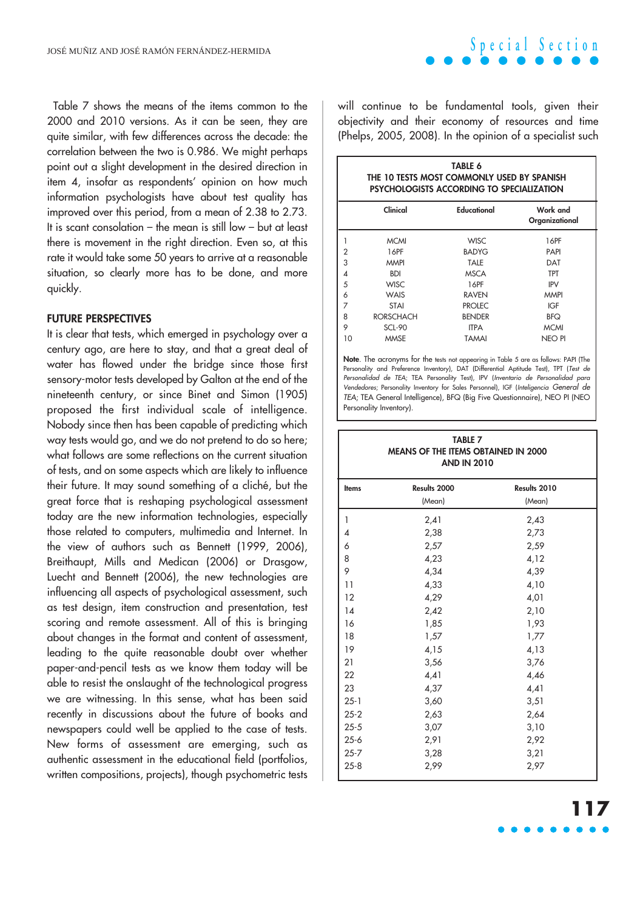Table 7 shows the means of the items common to the 2000 and 2010 versions. As it can be seen, they are quite similar, with few differences across the decade: the correlation between the two is 0.986. We might perhaps point out a slight development in the desired direction in item 4, insofar as respondents' opinion on how much information psychologists have about test quality has improved over this period, from a mean of 2.38 to 2.73. It is scant consolation – the mean is still low – but at least there is movement in the right direction. Even so, at this rate it would take some 50 years to arrive at a reasonable situation, so clearly more has to be done, and more quickly.

### **FUTURE PERSPECTIVES**

It is clear that tests, which emerged in psychology over a century ago, are here to stay, and that a great deal of water has flowed under the bridge since those first sensory-motor tests developed by Galton at the end of the nineteenth century, or since Binet and Simon (1905) proposed the first individual scale of intelligence. Nobody since then has been capable of predicting which way tests would go, and we do not pretend to do so here; what follows are some reflections on the current situation of tests, and on some aspects which are likely to influence their future. It may sound something of a cliché, but the great force that is reshaping psychological assessment today are the new information technologies, especially those related to computers, multimedia and Internet. In the view of authors such as Bennett (1999, 2006), Breithaupt, Mills and Medican (2006) or Drasgow, Luecht and Bennett (2006), the new technologies are influencing all aspects of psychological assessment, such as test design, item construction and presentation, test scoring and remote assessment. All of this is bringing about changes in the format and content of assessment, leading to the quite reasonable doubt over whether paper-and-pencil tests as we know them today will be able to resist the onslaught of the technological progress we are witnessing. In this sense, what has been said recently in discussions about the future of books and newspapers could well be applied to the case of tests. New forms of assessment are emerging, such as authentic assessment in the educational field (portfolios, written compositions, projects), though psychometric tests

**Special Section**

will continue to be fundamental tools, given their objectivity and their economy of resources and time (Phelps, 2005, 2008). In the opinion of a specialist such

|                | TABLE 6<br>THE 10 TESTS MOST COMMONLY USED BY SPANISH<br><b>PSYCHOLOGISTS ACCORDING TO SPECIALIZATION</b> |               |                            |  |  |
|----------------|-----------------------------------------------------------------------------------------------------------|---------------|----------------------------|--|--|
|                | Clinical                                                                                                  | Educational   | Work and<br>Organizational |  |  |
|                | <b>MCMI</b>                                                                                               | <b>WISC</b>   | 16PF                       |  |  |
| $\overline{2}$ | 16PF                                                                                                      | <b>BADYG</b>  | <b>PAPI</b>                |  |  |
| 3              | <b>MMPI</b>                                                                                               | TALE          | DAT                        |  |  |
| 4              | <b>BDI</b>                                                                                                | <b>MSCA</b>   | <b>TPT</b>                 |  |  |
| 5              | <b>WISC</b>                                                                                               | 16PF          | <b>IPV</b>                 |  |  |
| 6              | WAIS                                                                                                      | <b>RAVEN</b>  | <b>MMPI</b>                |  |  |
| 7              | <b>STAI</b>                                                                                               | <b>PROLEC</b> | IGF                        |  |  |
| 8              | <b>RORSCHACH</b>                                                                                          | <b>BENDER</b> | <b>BFQ</b>                 |  |  |
| 9              | SCL-90                                                                                                    | <b>ITPA</b>   | <b>MCMI</b>                |  |  |
| 10             | <b>MMSE</b>                                                                                               | TAMAI         | NEO PI                     |  |  |

**Note**. The acronyms for the tests not appearing in Table 5 are as follows: PAPI (The Personality and Preference Inventory), DAT (Differential Aptitude Test), TPT (Test de Personalidad de TEA; TEA Personality Test), IPV (Inventario de Personalidad para Vendedores; Personality Inventory for Sales Personnel), IGF (Inteligencia General de TEA; TEA General Intelligence), BFQ (Big Five Questionnaire), NEO PI (NEO Personality Inventory).

| AND IN 2010  |                        |                        |  |
|--------------|------------------------|------------------------|--|
| <b>Items</b> | Results 2000<br>(Mean) | Results 2010<br>(Mean) |  |
| 1            | 2,41                   | 2,43                   |  |
| 4            | 2,38                   | 2,73                   |  |
| 6            | 2,57                   | 2,59                   |  |
| 8            | 4,23                   | 4,12                   |  |
| 9            | 4,34                   | 4,39                   |  |
| 11           | 4,33                   | 4,10                   |  |
| 12           | 4,29                   | 4,01                   |  |
| 14           | 2,42                   | 2,10                   |  |
| 16           | 1,85                   | 1,93                   |  |
| 18           | 1,57                   | 1,77                   |  |
| 19           | 4,15                   | 4,13                   |  |
| 21           | 3,56                   | 3,76                   |  |
| 22           | 4,41                   | 4,46                   |  |
| 23           | 4,37                   | 4,41                   |  |
| $25 - 1$     | 3,60                   | 3,51                   |  |
| $25 - 2$     | 2,63                   | 2,64                   |  |
| $25 - 5$     | 3,07                   | 3,10                   |  |
| $25 - 6$     | 2,91                   | 2,92                   |  |
| $25 - 7$     | 3,28                   | 3,21                   |  |
| $25 - 8$     | 2,99                   | 2,97                   |  |

## **TABLE 7 MEANS OF THE ITEMS OBTAINED IN 2000**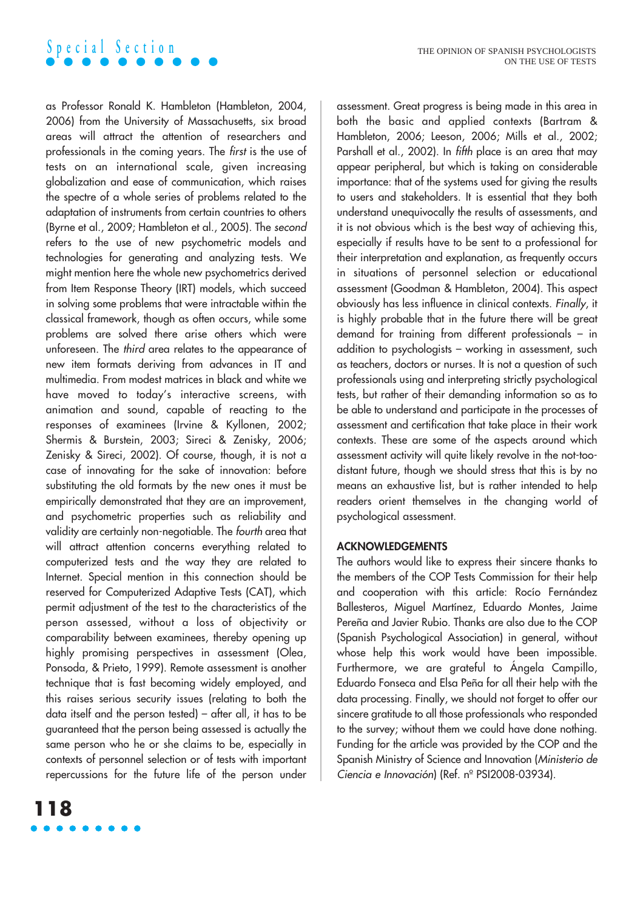as Professor Ronald K. Hambleton (Hambleton, 2004, 2006) from the University of Massachusetts, six broad areas will attract the attention of researchers and professionals in the coming years. The first is the use of tests on an international scale, given increasing globalization and ease of communication, which raises the spectre of a whole series of problems related to the adaptation of instruments from certain countries to others (Byrne et al., 2009; Hambleton et al., 2005). The second refers to the use of new psychometric models and technologies for generating and analyzing tests. We might mention here the whole new psychometrics derived from Item Response Theory (IRT) models, which succeed in solving some problems that were intractable within the classical framework, though as often occurs, while some problems are solved there arise others which were unforeseen. The third area relates to the appearance of new item formats deriving from advances in IT and multimedia. From modest matrices in black and white we have moved to today's interactive screens, with animation and sound, capable of reacting to the responses of examinees (Irvine & Kyllonen, 2002; Shermis & Burstein, 2003; Sireci & Zenisky, 2006; Zenisky & Sireci, 2002). Of course, though, it is not a case of innovating for the sake of innovation: before substituting the old formats by the new ones it must be empirically demonstrated that they are an improvement, and psychometric properties such as reliability and validity are certainly non-negotiable. The fourth area that will attract attention concerns everything related to computerized tests and the way they are related to Internet. Special mention in this connection should be reserved for Computerized Adaptive Tests (CAT), which permit adjustment of the test to the characteristics of the person assessed, without a loss of objectivity or comparability between examinees, thereby opening up highly promising perspectives in assessment (Olea, Ponsoda, & Prieto, 1999). Remote assessment is another technique that is fast becoming widely employed, and this raises serious security issues (relating to both the data itself and the person tested) – after all, it has to be guaranteed that the person being assessed is actually the same person who he or she claims to be, especially in contexts of personnel selection or of tests with important repercussions for the future life of the person under

assessment. Great progress is being made in this area in both the basic and applied contexts (Bartram & Hambleton, 2006; Leeson, 2006; Mills et al., 2002; Parshall et al., 2002). In *fifth* place is an area that may appear peripheral, but which is taking on considerable importance: that of the systems used for giving the results to users and stakeholders. It is essential that they both understand unequivocally the results of assessments, and it is not obvious which is the best way of achieving this, especially if results have to be sent to a professional for their interpretation and explanation, as frequently occurs in situations of personnel selection or educational assessment (Goodman & Hambleton, 2004). This aspect obviously has less influence in clinical contexts. Finally, it is highly probable that in the future there will be great demand for training from different professionals – in addition to psychologists – working in assessment, such as teachers, doctors or nurses. It is not a question of such professionals using and interpreting strictly psychological tests, but rather of their demanding information so as to be able to understand and participate in the processes of assessment and certification that take place in their work contexts. These are some of the aspects around which assessment activity will quite likely revolve in the not-toodistant future, though we should stress that this is by no means an exhaustive list, but is rather intended to help readers orient themselves in the changing world of psychological assessment.

### **ACKNOWLEDGEMENTS**

The authors would like to express their sincere thanks to the members of the COP Tests Commission for their help and cooperation with this article: Rocío Fernández Ballesteros, Miguel Martínez, Eduardo Montes, Jaime Pereña and Javier Rubio. Thanks are also due to the COP (Spanish Psychological Association) in general, without whose help this work would have been impossible. Furthermore, we are grateful to Ángela Campillo, Eduardo Fonseca and Elsa Peña for all their help with the data processing. Finally, we should not forget to offer our sincere gratitude to all those professionals who responded to the survey; without them we could have done nothing. Funding for the article was provided by the COP and the Spanish Ministry of Science and Innovation (Ministerio de Ciencia e Innovación) (Ref. nº PSI2008-03934).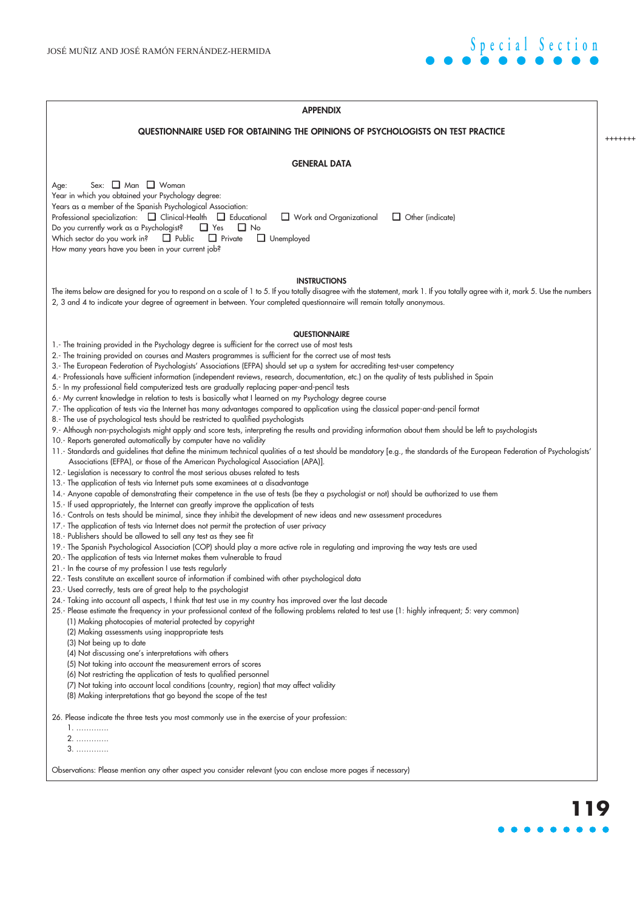

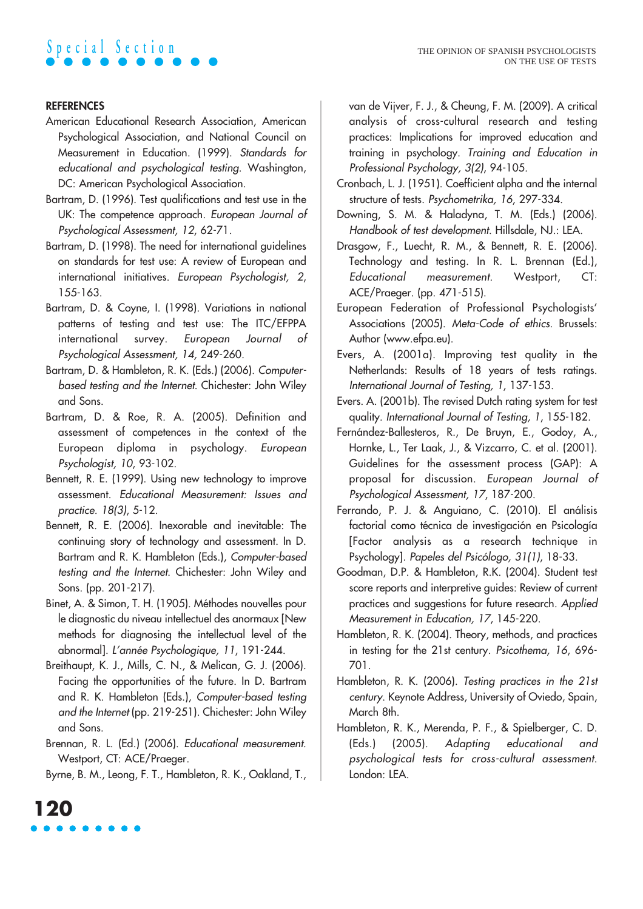## **REFERENCES**

- American Educational Research Association, American Psychological Association, and National Council on Measurement in Education. (1999). Standards for educational and psychological testing. Washington, DC: American Psychological Association.
- Bartram, D. (1996). Test qualifications and test use in the UK: The competence approach. European Journal of Psychological Assessment, 12, 62-71.
- Bartram, D. (1998). The need for international guidelines on standards for test use: A review of European and international initiatives. European Psychologist, 2, 155-163.
- Bartram, D. & Coyne, I. (1998). Variations in national patterns of testing and test use: The ITC/EFPPA international survey. European Journal of Psychological Assessment, 14, 249-260.
- Bartram, D. & Hambleton, R. K. (Eds.) (2006). Computerbased testing and the Internet. Chichester: John Wiley and Sons.
- Bartram, D. & Roe, R. A. (2005). Definition and assessment of competences in the context of the European diploma in psychology. European Psychologist, 10, 93-102.
- Bennett, R. E. (1999). Using new technology to improve assessment. Educational Measurement: Issues and practice. 18(3), 5-12.
- Bennett, R. E. (2006). Inexorable and inevitable: The continuing story of technology and assessment. In D. Bartram and R. K. Hambleton (Eds.), Computer-based testing and the Internet. Chichester: John Wiley and Sons. (pp. 201-217).
- Binet, A. & Simon, T. H. (1905). Méthodes nouvelles pour le diagnostic du niveau intellectuel des anormaux [New methods for diagnosing the intellectual level of the abnormal]. L'année Psychologique, 11, 191-244.
- Breithaupt, K. J., Mills, C. N., & Melican, G. J. (2006). Facing the opportunities of the future. In D. Bartram and R. K. Hambleton (Eds.), Computer-based testing and the Internet (pp. 219-251). Chichester: John Wiley and Sons.

Brennan, R. L. (Ed.) (2006). Educational measurement. Westport, CT: ACE/Praeger.

Byrne, B. M., Leong, F. T., Hambleton, R. K., Oakland, T.,

van de Vijver, F. J., & Cheung, F. M. (2009). A critical analysis of cross-cultural research and testing practices: Implications for improved education and training in psychology. Training and Education in Professional Psychology, 3(2), 94-105.

- Cronbach, L. J. (1951). Coefficient alpha and the internal structure of tests. Psychometrika, 16, 297-334.
- Downing, S. M. & Haladyna, T. M. (Eds.) (2006). Handbook of test development. Hillsdale, NJ.: LEA.
- Drasgow, F., Luecht, R. M., & Bennett, R. E. (2006). Technology and testing. In R. L. Brennan (Ed.), Educational measurement. Westport, CT: ACE/Praeger. (pp. 471-515).
- European Federation of Professional Psychologists' Associations (2005). Meta-Code of ethics. Brussels: Author (www.efpa.eu).
- Evers, A. (2001a). Improving test quality in the Netherlands: Results of 18 years of tests ratings. International Journal of Testing, 1, 137-153.
- Evers. A. (2001b). The revised Dutch rating system for test quality. International Journal of Testing, 1, 155-182.
- Fernández-Ballesteros, R., De Bruyn, E., Godoy, A., Hornke, L., Ter Laak, J., & Vizcarro, C. et al. (2001). Guidelines for the assessment process (GAP): A proposal for discussion. European Journal of Psychological Assessment, 17, 187-200.
- Ferrando, P. J. & Anguiano, C. (2010). El análisis factorial como técnica de investigación en Psicología [Factor analysis as a research technique in Psychology]. Papeles del Psicólogo, 31(1), 18-33.
- Goodman, D.P. & Hambleton, R.K. (2004). Student test score reports and interpretive guides: Review of current practices and suggestions for future research. Applied Measurement in Education, 17, 145-220.
- Hambleton, R. K. (2004). Theory, methods, and practices in testing for the 21st century. Psicothema, 16, 696- 701.
- Hambleton, R. K. (2006). Testing practices in the 21st century. Keynote Address, University of Oviedo, Spain, March 8th.
- Hambleton, R. K., Merenda, P. F., & Spielberger, C. D. (Eds.) (2005). Adapting educational and psychological tests for cross-cultural assessment. London: LEA.